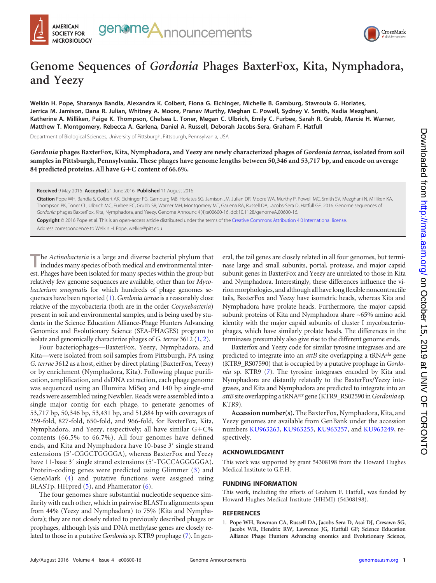



## **Genome Sequences of** *Gordonia* **Phages BaxterFox, Kita, Nymphadora, and Yeezy**

**Welkin H. Pope, Sharanya Bandla, Alexandra K. Colbert, Fiona G. Eichinger, Michelle B. Gamburg, Stavroula G. Horiates, Jerrica M. Jamison, Dana R. Julian, Whitney A. Moore, Pranav Murthy, Meghan C. Powell, Sydney V. Smith, Nadia Mezghani, Katherine A. Milliken, Paige K. Thompson, Chelsea L. Toner, Megan C. Ulbrich, Emily C. Furbee, Sarah R. Grubb, Marcie H. Warner, Matthew T. Montgomery, Rebecca A. Garlena, Daniel A. Russell, Deborah Jacobs-Sera, Graham F. Hatfull**

Department of Biological Sciences, University of Pittsburgh, Pittsburgh, Pennsylvania, USA

*Gordonia* **phages BaxterFox, Kita, Nymphadora, and Yeezy are newly characterized phages of** *Gordonia terrae***, isolated from soil samples in Pittsburgh, Pennsylvania. These phages have genome lengths between 50,346 and 53,717 bp, and encode on average 84 predicted proteins. All have G**-**C content of 66.6%.**

**Received** 9 May 2016 **Accepted** 21 June 2016 **Published** 11 August 2016

**Citation** Pope WH, Bandla S, Colbert AK, Eichinger FG, Gamburg MB, Horiates SG, Jamison JM, Julian DR, Moore WA, Murthy P, Powell MC, Smith SV, Mezghani N, Milliken KA, Thompson PK, Toner CL, Ulbrich MC, Furbee EC, Grubb SR, Warner MH, Montgomery MT, Garlena RA, Russell DA, Jacobs-Sera D, Hatfull GF. 2016. Genome sequences of *Gordonia* phages BaxterFox, Kita, Nymphadora, and Yeezy. Genome Announc 4(4):e00600-16. doi:10.1128/genomeA.00600-16.

**Copyright** © 2016 Pope et al. This is an open-access article distributed under the terms of the Creative Commons Attribution 4.0 International license.

Address correspondence to Welkin H. Pope, welkin@pitt.edu.

**T**he *Actinobacteria* is a large and diverse bacterial phylum that includes many species of both medical and environmental interest. Phages have been isolated for many species within the group but relatively few genome sequences are available, other than for *Mycobacterium smegmatis* for which hundreds of phage genomes sequences have been reported [\(1\)](#page-0-0). *Gordonia terrae*is a reasonably close relative of the mycobacteria (both are in the order *Corynebacteria*) present in soil and environmental samples, and is being used by students in the Science Education Alliance-Phage Hunters Advancing Genomics and Evolutionary Science (SEA-PHAGES) program to isolate and genomically characterize phages of *G. terrae* 3612 [\(1,](#page-0-0) [2\)](#page-1-0).

Four bacteriophages—BaxterFox, Yeezy, Nymphadora, and Kita—were isolated from soil samples from Pittsburgh, PA using *G. terrae* 3612 as a host, either by direct plating (BaxterFox, Yeezy) or by enrichment (Nymphadora, Kita). Following plaque purification, amplification, and dsDNA extraction, each phage genome was sequenced using an Illumina MiSeq and 140 bp single-end reads were assembled using Newbler. Reads were assembled into a single major contig for each phage, to generate genomes of 53,717 bp, 50,346 bp, 53,431 bp, and 51,884 bp with coverages of 259-fold, 827-fold, 650-fold, and 966-fold, for BaxterFox, Kita, Nymphadora, and Yeezy, respectively; all have similar G+C% contents (66.5% to 66.7%). All four genomes have defined ends, and Kita and Nymphadora have 10-base 3' single strand extensions (5'-CGGCTGGGGA), whereas BaxterFox and Yeezy have 11-base 3' single strand extensions (5'-TGCCAGGGGGA). Protein-coding genes were predicted using Glimmer [\(3\)](#page-1-1) and GeneMark [\(4\)](#page-1-2) and putative functions were assigned using BLASTp, HHpred [\(5\)](#page-1-3), and Phamerator [\(6\)](#page-1-4).

The four genomes share substantial nucleotide sequence similarity with each other, which in pairwise BLASTn alignments span from 44% (Yeezy and Nymphadora) to 75% (Kita and Nymphadora); they are not closely related to previously described phages or prophages, although lysis and DNA methylase genes are closely related to those in a putative *Gordonia* sp. KTR9 prophage [\(7\)](#page-1-5). In general, the tail genes are closely related in all four genomes, but terminase large and small subunits, portal, protease, and major capsid subunit genes in BaxterFox and Yeezy are unrelated to those in Kita and Nymphadora. Interestingly, these differences influence the virion morphologies, and although all have long flexible noncontractile tails, BaxterFox and Yeezy have isometric heads, whereas Kita and Nymphadora have prolate heads. Furthermore, the major capsid subunit proteins of Kita and Nymphadora share ~65% amino acid identity with the major capsid subunits of cluster I mycobacteriophages, which have similarly prolate heads. The differences in the terminases presumably also give rise to the different genome ends.

Baxterfox and Yeezy code for similar tyrosine integrases and are predicted to integrate into an *attB* site overlapping a tRNA<sup>ala</sup> gene (KTR9\_RS07590) that is occupied by a putative prophage in *Gordonia* sp. KTR9 [\(7\)](#page-1-5). The tyrosine integrases encoded by Kita and Nymphadora are distantly relatedly to the BaxterFox/Yeezy integrases, and Kita and Nymphadora are predicted to integrate into an *attB*site overlapping a tRNAser gene (KTR9\_RS02590 in*Gordonia* sp. KTR9).

**Accession number(s).** The BaxterFox, Nymphadora, Kita, and Yeezy genomes are available from GenBank under the accession numbers KU963263, KU963255, KU963257, and KU963249, respectively.

## **ACKNOWLEDGMENT**

This work was supported by grant 54308198 from the Howard Hughes Medical Institute to G.F.H.

## **FUNDING INFORMATION**

This work, including the efforts of Graham F. Hatfull, was funded by Howard Hughes Medical Institute (HHMI) (54308198).

## <span id="page-0-0"></span>**REFERENCES**

1. **Pope WH, Bowman CA, Russell DA, Jacobs-Sera D, Asai DJ, Cresawn SG, Jacobs WR, Hendrix RW, Lawrence JG, Hatfull GF; Science Education Alliance Phage Hunters Advancing enomics and Evolutionary Science,**